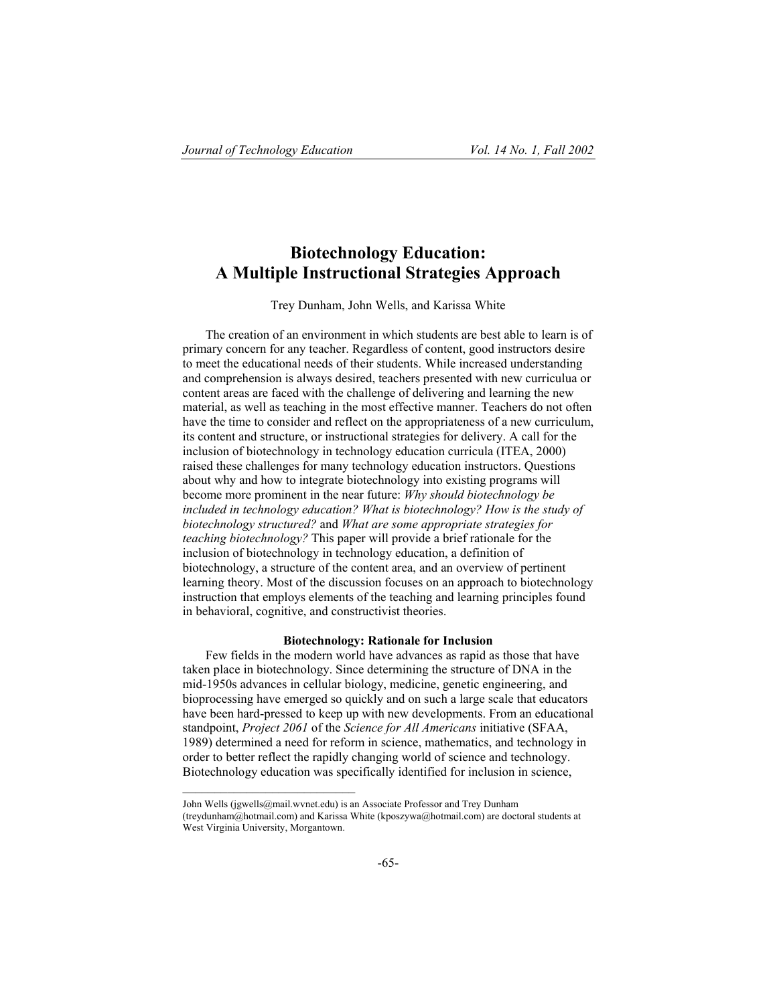# **Biotechnology Education: A Multiple Instructional Strategies Approach**

Trey Dunham, John Wells, and Karissa White

The creation of an environment in which students are best able to learn is of primary concern for any teacher. Regardless of content, good instructors desire to meet the educational needs of their students. While increased understanding and comprehension is always desired, teachers presented with new curriculua or content areas are faced with the challenge of delivering and learning the new material, as well as teaching in the most effective manner. Teachers do not often have the time to consider and reflect on the appropriateness of a new curriculum, its content and structure, or instructional strategies for delivery. A call for the inclusion of biotechnology in technology education curricula (ITEA, 2000) raised these challenges for many technology education instructors. Questions about why and how to integrate biotechnology into existing programs will become more prominent in the near future: *Why should biotechnology be included in technology education? What is biotechnology? How is the study of biotechnology structured?* and *What are some appropriate strategies for teaching biotechnology?* This paper will provide a brief rationale for the inclusion of biotechnology in technology education, a definition of biotechnology, a structure of the content area, and an overview of pertinent learning theory. Most of the discussion focuses on an approach to biotechnology instruction that employs elements of the teaching and learning principles found in behavioral, cognitive, and constructivist theories.

# **Biotechnology: Rationale for Inclusion**

Few fields in the modern world have advances as rapid as those that have taken place in biotechnology. Since determining the structure of DNA in the mid-1950s advances in cellular biology, medicine, genetic engineering, and bioprocessing have emerged so quickly and on such a large scale that educators have been hard-pressed to keep up with new developments. From an educational standpoint, *Project 2061* of the *Science for All Americans* initiative (SFAA, 1989) determined a need for reform in science, mathematics, and technology in order to better reflect the rapidly changing world of science and technology. Biotechnology education was specifically identified for inclusion in science,

John Wells (jgwells@mail.wvnet.edu) is an Associate Professor and Trey Dunham (treydunham@hotmail.com) and Karissa White (kposzywa@hotmail.com) are doctoral students at West Virginia University, Morgantown.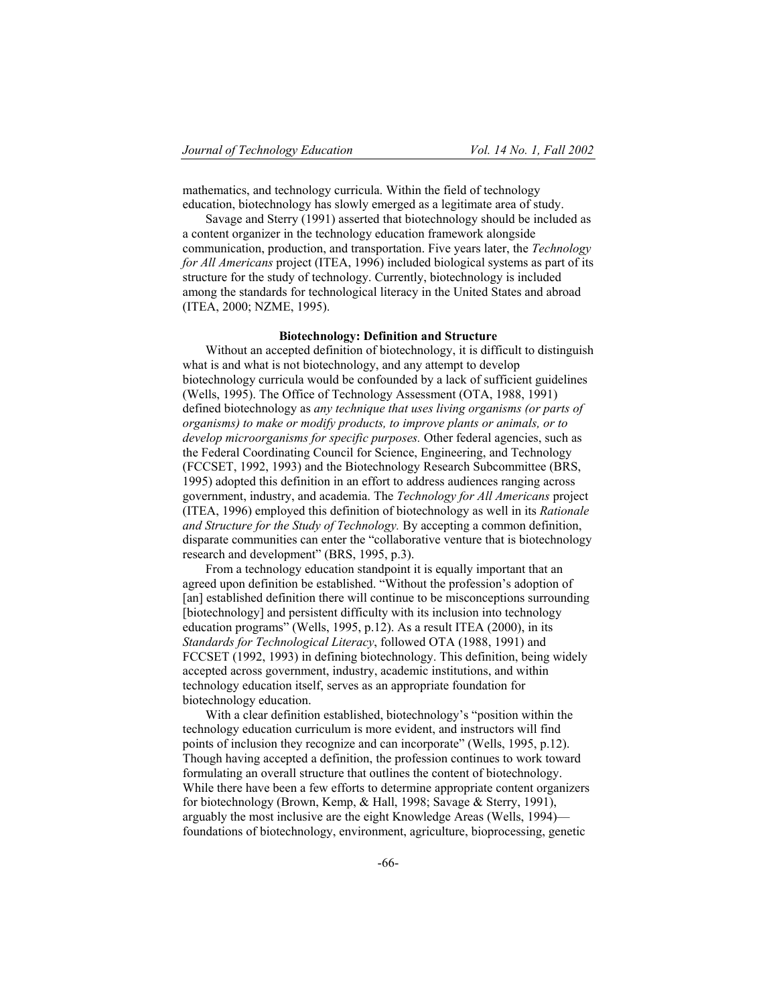mathematics, and technology curricula. Within the field of technology education, biotechnology has slowly emerged as a legitimate area of study.

Savage and Sterry (1991) asserted that biotechnology should be included as a content organizer in the technology education framework alongside communication, production, and transportation. Five years later, the *Technology for All Americans* project (ITEA, 1996) included biological systems as part of its structure for the study of technology. Currently, biotechnology is included among the standards for technological literacy in the United States and abroad (ITEA, 2000; NZME, 1995).

## **Biotechnology: Definition and Structure**

Without an accepted definition of biotechnology, it is difficult to distinguish what is and what is not biotechnology, and any attempt to develop biotechnology curricula would be confounded by a lack of sufficient guidelines (Wells, 1995). The Office of Technology Assessment (OTA, 1988, 1991) defined biotechnology as *any technique that uses living organisms (or parts of organisms) to make or modify products, to improve plants or animals, or to develop microorganisms for specific purposes.* Other federal agencies, such as the Federal Coordinating Council for Science, Engineering, and Technology (FCCSET, 1992, 1993) and the Biotechnology Research Subcommittee (BRS, 1995) adopted this definition in an effort to address audiences ranging across government, industry, and academia. The *Technology for All Americans* project (ITEA, 1996) employed this definition of biotechnology as well in its *Rationale and Structure for the Study of Technology.* By accepting a common definition, disparate communities can enter the "collaborative venture that is biotechnology research and development" (BRS, 1995, p.3).

From a technology education standpoint it is equally important that an agreed upon definition be established. "Without the profession's adoption of [an] established definition there will continue to be misconceptions surrounding [biotechnology] and persistent difficulty with its inclusion into technology education programs" (Wells, 1995, p.12). As a result ITEA (2000), in its *Standards for Technological Literacy*, followed OTA (1988, 1991) and FCCSET (1992, 1993) in defining biotechnology. This definition, being widely accepted across government, industry, academic institutions, and within technology education itself, serves as an appropriate foundation for biotechnology education.

With a clear definition established, biotechnology's "position within the technology education curriculum is more evident, and instructors will find points of inclusion they recognize and can incorporate" (Wells, 1995, p.12). Though having accepted a definition, the profession continues to work toward formulating an overall structure that outlines the content of biotechnology. While there have been a few efforts to determine appropriate content organizers for biotechnology (Brown, Kemp, & Hall, 1998; Savage & Sterry, 1991), arguably the most inclusive are the eight Knowledge Areas (Wells, 1994) foundations of biotechnology, environment, agriculture, bioprocessing, genetic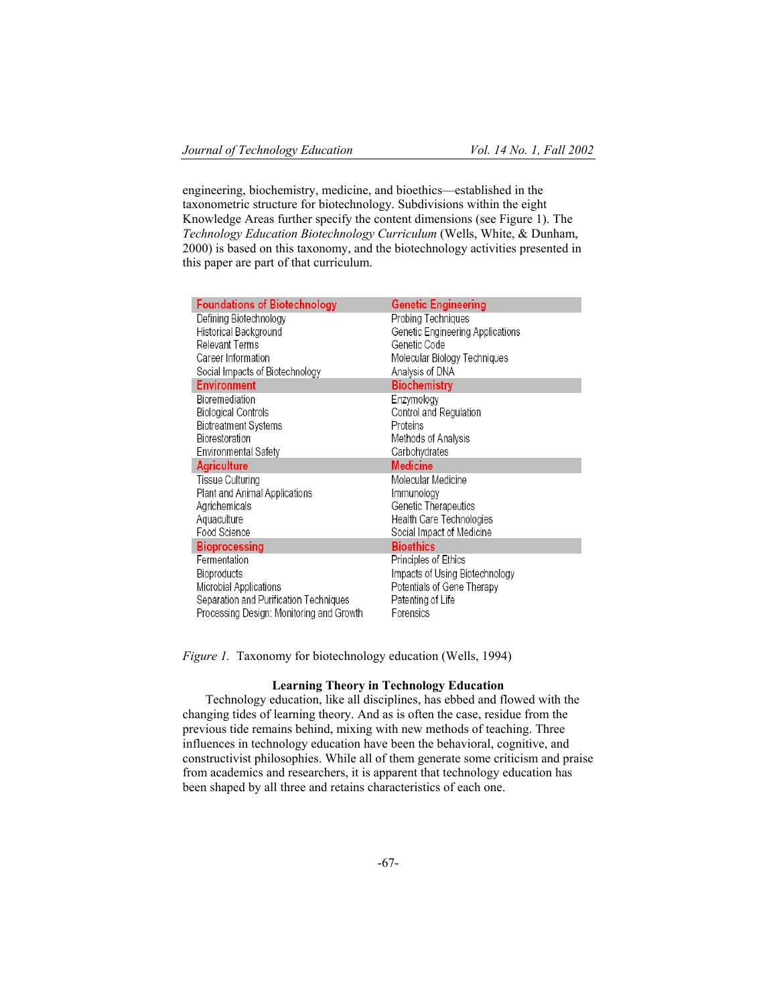engineering, biochemistry, medicine, and bioethics—established in the taxonometric structure for biotechnology. Subdivisions within the eight Knowledge Areas further specify the content dimensions (see Figure 1). The *Technology Education Biotechnology Curriculum* (Wells, White, & Dunham, 2000) is based on this taxonomy, and the biotechnology activities presented in this paper are part of that curriculum.

| <b>Foundations of Biotechnology</b>                                                | Genetic Engineering              |
|------------------------------------------------------------------------------------|----------------------------------|
| Defining Biotechnology                                                             | Probing Techniques               |
| Historical Background                                                              | Genetic Engineering Applications |
| Relevant Terms                                                                     | Genetic Code                     |
| Career Information                                                                 | Molecular Biology Techniques     |
| Social Impacts of Biotechnology                                                    | Analysis of DNA                  |
| <b>Environment</b>                                                                 | <b>Biochemistry</b>              |
| Bioremediation                                                                     | Enzvmoloav                       |
| <b>Biological Controls</b>                                                         | Control and Regulation           |
| Biotreatment Systems                                                               | Proteins                         |
| Biorestoration                                                                     | Methods of Analysis              |
| Environmental Safety                                                               | Carbohydrates                    |
|                                                                                    |                                  |
| <b>Agriculture</b>                                                                 | Medicine                         |
| Tissue Culturing                                                                   | Molecular Medicine               |
| Plant and Animal Applications                                                      | Immunology                       |
| Agrichemicals                                                                      | Genetic Therapeutics             |
| Aquaculture                                                                        | Health Care Technologies         |
| Food Science                                                                       | Social Impact of Medicine        |
| <b>Bioprocessing</b>                                                               | <b>Bioethics</b>                 |
| Fermentation                                                                       | Principles of Ethics             |
| Bioproducts                                                                        | Impacts of Using Biotechnology   |
| Microbial Applications                                                             | Potentials of Gene Therapy       |
| Separation and Purification Techniques<br>Processing Design: Monitoring and Growth | Patenting of Life                |

*Figure 1.* Taxonomy for biotechnology education (Wells, 1994)

## **Learning Theory in Technology Education**

Technology education, like all disciplines, has ebbed and flowed with the changing tides of learning theory. And as is often the case, residue from the previous tide remains behind, mixing with new methods of teaching. Three influences in technology education have been the behavioral, cognitive, and constructivist philosophies. While all of them generate some criticism and praise from academics and researchers, it is apparent that technology education has been shaped by all three and retains characteristics of each one.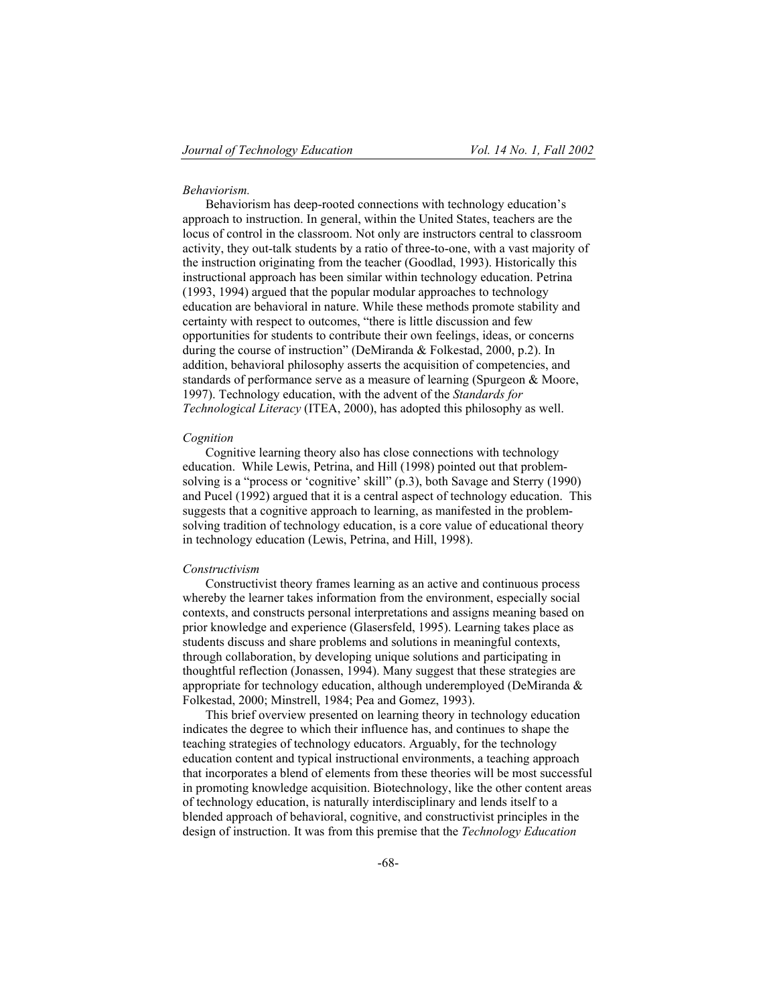## *Behaviorism.*

Behaviorism has deep-rooted connections with technology education's approach to instruction. In general, within the United States, teachers are the locus of control in the classroom. Not only are instructors central to classroom activity, they out-talk students by a ratio of three-to-one, with a vast majority of the instruction originating from the teacher (Goodlad, 1993). Historically this instructional approach has been similar within technology education. Petrina (1993, 1994) argued that the popular modular approaches to technology education are behavioral in nature. While these methods promote stability and certainty with respect to outcomes, "there is little discussion and few opportunities for students to contribute their own feelings, ideas, or concerns during the course of instruction" (DeMiranda & Folkestad, 2000, p.2). In addition, behavioral philosophy asserts the acquisition of competencies, and standards of performance serve as a measure of learning (Spurgeon & Moore, 1997). Technology education, with the advent of the *Standards for Technological Literacy* (ITEA, 2000), has adopted this philosophy as well.

#### *Cognition*

Cognitive learning theory also has close connections with technology education. While Lewis, Petrina, and Hill (1998) pointed out that problemsolving is a "process or 'cognitive' skill" (p.3), both Savage and Sterry (1990) and Pucel (1992) argued that it is a central aspect of technology education. This suggests that a cognitive approach to learning, as manifested in the problemsolving tradition of technology education, is a core value of educational theory in technology education (Lewis, Petrina, and Hill, 1998).

#### *Constructivism*

Constructivist theory frames learning as an active and continuous process whereby the learner takes information from the environment, especially social contexts, and constructs personal interpretations and assigns meaning based on prior knowledge and experience (Glasersfeld, 1995). Learning takes place as students discuss and share problems and solutions in meaningful contexts, through collaboration, by developing unique solutions and participating in thoughtful reflection (Jonassen, 1994). Many suggest that these strategies are appropriate for technology education, although underemployed (DeMiranda & Folkestad, 2000; Minstrell, 1984; Pea and Gomez, 1993).

This brief overview presented on learning theory in technology education indicates the degree to which their influence has, and continues to shape the teaching strategies of technology educators. Arguably, for the technology education content and typical instructional environments, a teaching approach that incorporates a blend of elements from these theories will be most successful in promoting knowledge acquisition. Biotechnology, like the other content areas of technology education, is naturally interdisciplinary and lends itself to a blended approach of behavioral, cognitive, and constructivist principles in the design of instruction. It was from this premise that the *Technology Education*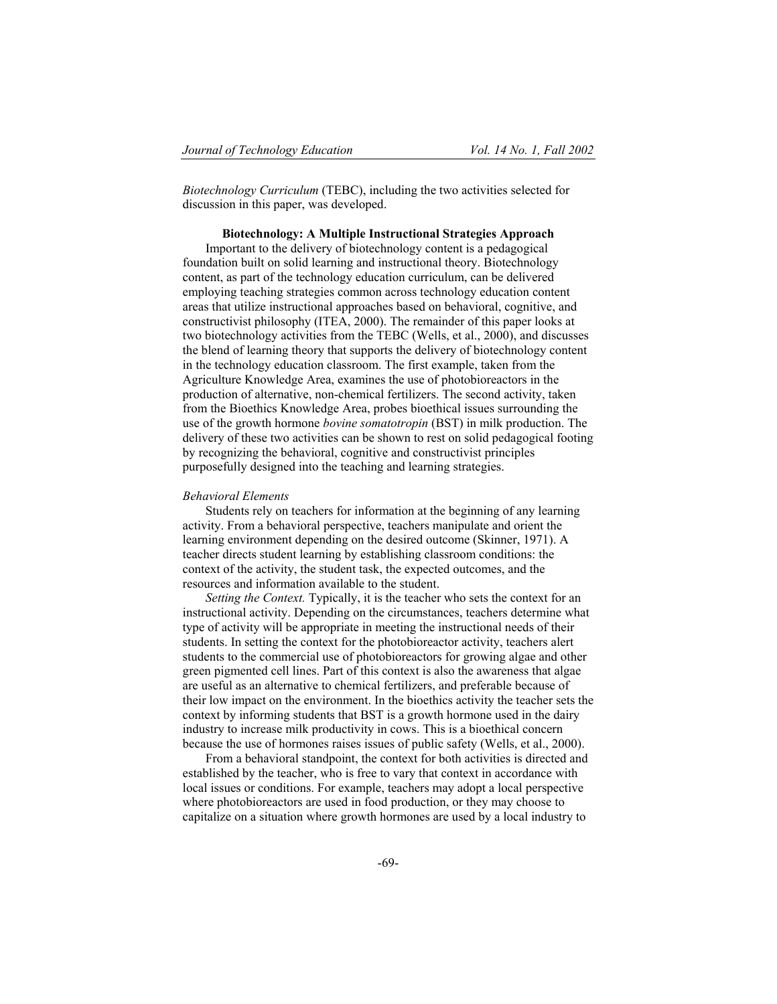*Biotechnology Curriculum* (TEBC), including the two activities selected for discussion in this paper, was developed.

## **Biotechnology: A Multiple Instructional Strategies Approach**

Important to the delivery of biotechnology content is a pedagogical foundation built on solid learning and instructional theory. Biotechnology content, as part of the technology education curriculum, can be delivered employing teaching strategies common across technology education content areas that utilize instructional approaches based on behavioral, cognitive, and constructivist philosophy (ITEA, 2000). The remainder of this paper looks at two biotechnology activities from the TEBC (Wells, et al., 2000), and discusses the blend of learning theory that supports the delivery of biotechnology content in the technology education classroom. The first example, taken from the Agriculture Knowledge Area, examines the use of photobioreactors in the production of alternative, non-chemical fertilizers. The second activity, taken from the Bioethics Knowledge Area, probes bioethical issues surrounding the use of the growth hormone *bovine somatotropin* (BST) in milk production. The delivery of these two activities can be shown to rest on solid pedagogical footing by recognizing the behavioral, cognitive and constructivist principles purposefully designed into the teaching and learning strategies.

# *Behavioral Elements*

Students rely on teachers for information at the beginning of any learning activity. From a behavioral perspective, teachers manipulate and orient the learning environment depending on the desired outcome (Skinner, 1971). A teacher directs student learning by establishing classroom conditions: the context of the activity, the student task, the expected outcomes, and the resources and information available to the student.

*Setting the Context.* Typically, it is the teacher who sets the context for an instructional activity. Depending on the circumstances, teachers determine what type of activity will be appropriate in meeting the instructional needs of their students. In setting the context for the photobioreactor activity, teachers alert students to the commercial use of photobioreactors for growing algae and other green pigmented cell lines. Part of this context is also the awareness that algae are useful as an alternative to chemical fertilizers, and preferable because of their low impact on the environment. In the bioethics activity the teacher sets the context by informing students that BST is a growth hormone used in the dairy industry to increase milk productivity in cows. This is a bioethical concern because the use of hormones raises issues of public safety (Wells, et al., 2000).

From a behavioral standpoint, the context for both activities is directed and established by the teacher, who is free to vary that context in accordance with local issues or conditions. For example, teachers may adopt a local perspective where photobioreactors are used in food production, or they may choose to capitalize on a situation where growth hormones are used by a local industry to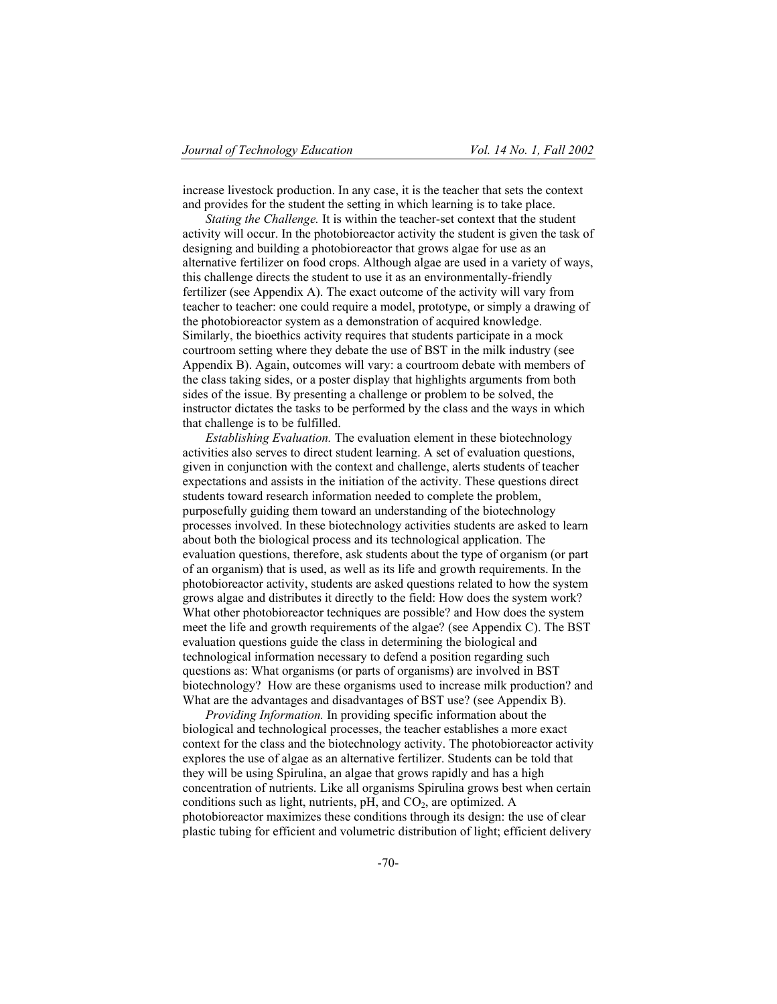increase livestock production. In any case, it is the teacher that sets the context and provides for the student the setting in which learning is to take place.

*Stating the Challenge.* It is within the teacher-set context that the student activity will occur. In the photobioreactor activity the student is given the task of designing and building a photobioreactor that grows algae for use as an alternative fertilizer on food crops. Although algae are used in a variety of ways, this challenge directs the student to use it as an environmentally-friendly fertilizer (see Appendix A). The exact outcome of the activity will vary from teacher to teacher: one could require a model, prototype, or simply a drawing of the photobioreactor system as a demonstration of acquired knowledge. Similarly, the bioethics activity requires that students participate in a mock courtroom setting where they debate the use of BST in the milk industry (see Appendix B). Again, outcomes will vary: a courtroom debate with members of the class taking sides, or a poster display that highlights arguments from both sides of the issue. By presenting a challenge or problem to be solved, the instructor dictates the tasks to be performed by the class and the ways in which that challenge is to be fulfilled.

*Establishing Evaluation.* The evaluation element in these biotechnology activities also serves to direct student learning. A set of evaluation questions, given in conjunction with the context and challenge, alerts students of teacher expectations and assists in the initiation of the activity. These questions direct students toward research information needed to complete the problem, purposefully guiding them toward an understanding of the biotechnology processes involved. In these biotechnology activities students are asked to learn about both the biological process and its technological application. The evaluation questions, therefore, ask students about the type of organism (or part of an organism) that is used, as well as its life and growth requirements. In the photobioreactor activity, students are asked questions related to how the system grows algae and distributes it directly to the field: How does the system work? What other photobioreactor techniques are possible? and How does the system meet the life and growth requirements of the algae? (see Appendix C). The BST evaluation questions guide the class in determining the biological and technological information necessary to defend a position regarding such questions as: What organisms (or parts of organisms) are involved in BST biotechnology? How are these organisms used to increase milk production? and What are the advantages and disadvantages of BST use? (see Appendix B).

*Providing Information.* In providing specific information about the biological and technological processes, the teacher establishes a more exact context for the class and the biotechnology activity. The photobioreactor activity explores the use of algae as an alternative fertilizer. Students can be told that they will be using Spirulina, an algae that grows rapidly and has a high concentration of nutrients. Like all organisms Spirulina grows best when certain conditions such as light, nutrients,  $pH$ , and  $CO<sub>2</sub>$ , are optimized. A photobioreactor maximizes these conditions through its design: the use of clear plastic tubing for efficient and volumetric distribution of light; efficient delivery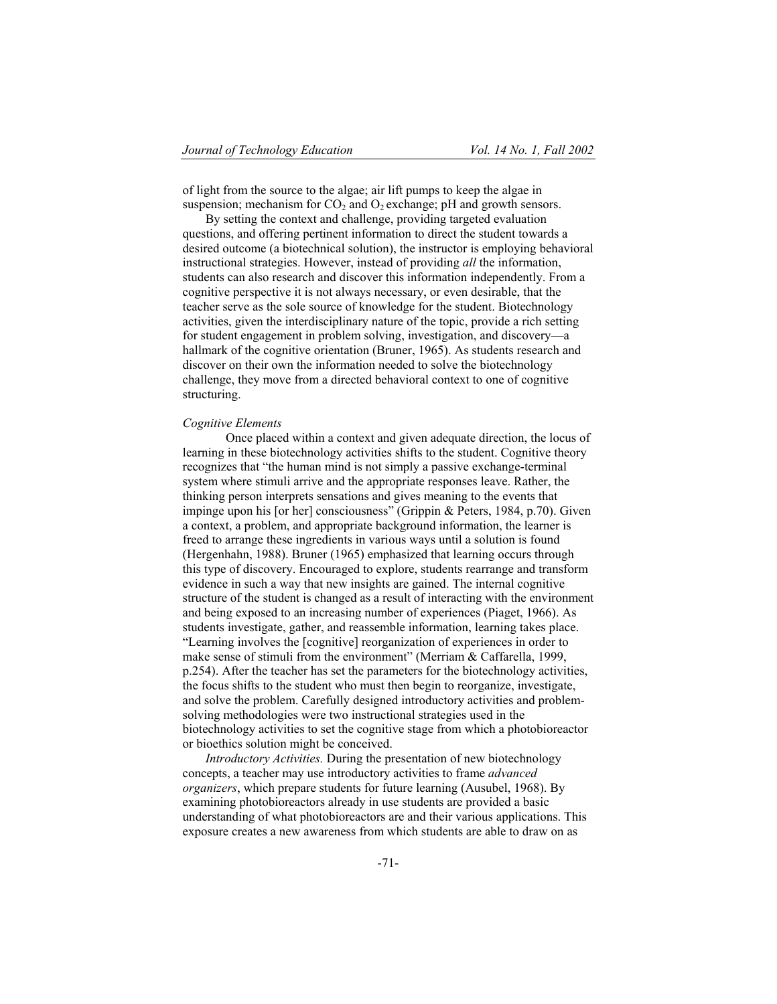of light from the source to the algae; air lift pumps to keep the algae in suspension; mechanism for  $CO_2$  and  $O_2$  exchange; pH and growth sensors.

By setting the context and challenge, providing targeted evaluation questions, and offering pertinent information to direct the student towards a desired outcome (a biotechnical solution), the instructor is employing behavioral instructional strategies. However, instead of providing *all* the information, students can also research and discover this information independently. From a cognitive perspective it is not always necessary, or even desirable, that the teacher serve as the sole source of knowledge for the student. Biotechnology activities, given the interdisciplinary nature of the topic, provide a rich setting for student engagement in problem solving, investigation, and discovery—a hallmark of the cognitive orientation (Bruner, 1965). As students research and discover on their own the information needed to solve the biotechnology challenge, they move from a directed behavioral context to one of cognitive structuring.

## *Cognitive Elements*

Once placed within a context and given adequate direction, the locus of learning in these biotechnology activities shifts to the student. Cognitive theory recognizes that "the human mind is not simply a passive exchange-terminal system where stimuli arrive and the appropriate responses leave. Rather, the thinking person interprets sensations and gives meaning to the events that impinge upon his [or her] consciousness" (Grippin & Peters, 1984, p.70). Given a context, a problem, and appropriate background information, the learner is freed to arrange these ingredients in various ways until a solution is found (Hergenhahn, 1988). Bruner (1965) emphasized that learning occurs through this type of discovery. Encouraged to explore, students rearrange and transform evidence in such a way that new insights are gained. The internal cognitive structure of the student is changed as a result of interacting with the environment and being exposed to an increasing number of experiences (Piaget, 1966). As students investigate, gather, and reassemble information, learning takes place. "Learning involves the [cognitive] reorganization of experiences in order to make sense of stimuli from the environment" (Merriam & Caffarella, 1999, p.254). After the teacher has set the parameters for the biotechnology activities, the focus shifts to the student who must then begin to reorganize, investigate, and solve the problem. Carefully designed introductory activities and problemsolving methodologies were two instructional strategies used in the biotechnology activities to set the cognitive stage from which a photobioreactor or bioethics solution might be conceived.

*Introductory Activities.* During the presentation of new biotechnology concepts, a teacher may use introductory activities to frame *advanced organizers*, which prepare students for future learning (Ausubel, 1968). By examining photobioreactors already in use students are provided a basic understanding of what photobioreactors are and their various applications. This exposure creates a new awareness from which students are able to draw on as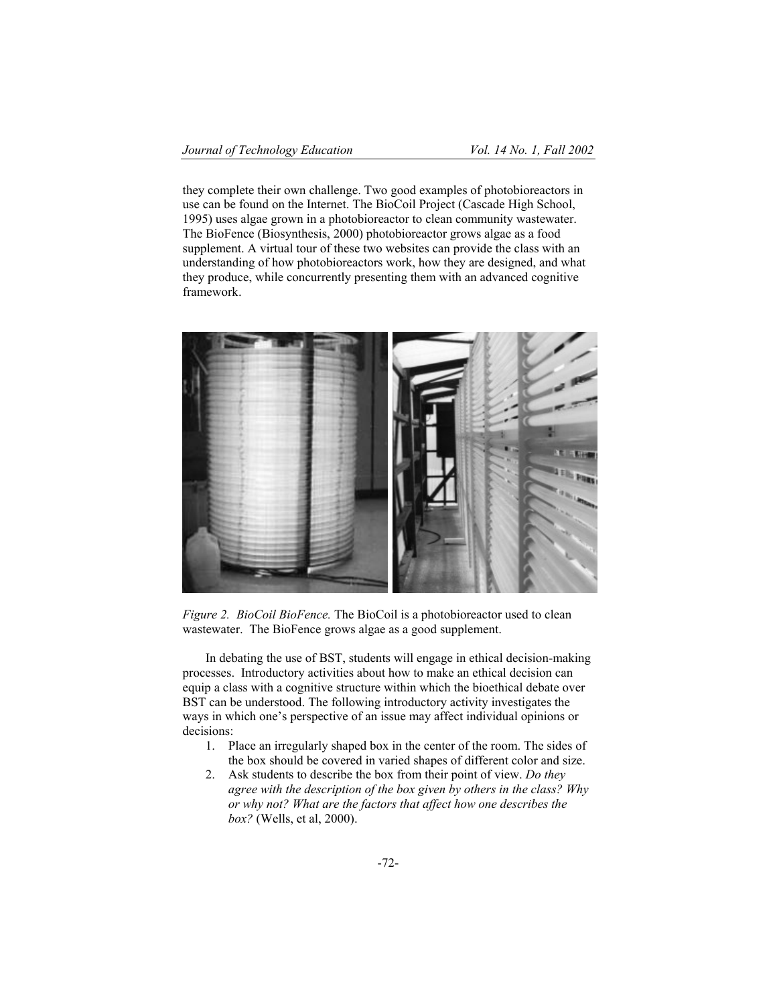they complete their own challenge. Two good examples of photobioreactors in use can be found on the Internet. The BioCoil Project (Cascade High School, 1995) uses algae grown in a photobioreactor to clean community wastewater. The BioFence (Biosynthesis, 2000) photobioreactor grows algae as a food supplement. A virtual tour of these two websites can provide the class with an understanding of how photobioreactors work, how they are designed, and what they produce, while concurrently presenting them with an advanced cognitive framework.



*Figure 2. BioCoil BioFence.* The BioCoil is a photobioreactor used to clean wastewater. The BioFence grows algae as a good supplement.

In debating the use of BST, students will engage in ethical decision-making processes. Introductory activities about how to make an ethical decision can equip a class with a cognitive structure within which the bioethical debate over BST can be understood. The following introductory activity investigates the ways in which one's perspective of an issue may affect individual opinions or decisions:

- 1. Place an irregularly shaped box in the center of the room. The sides of the box should be covered in varied shapes of different color and size.
- 2. Ask students to describe the box from their point of view. *Do they agree with the description of the box given by others in the class? Why or why not? What are the factors that affect how one describes the box?* (Wells, et al, 2000).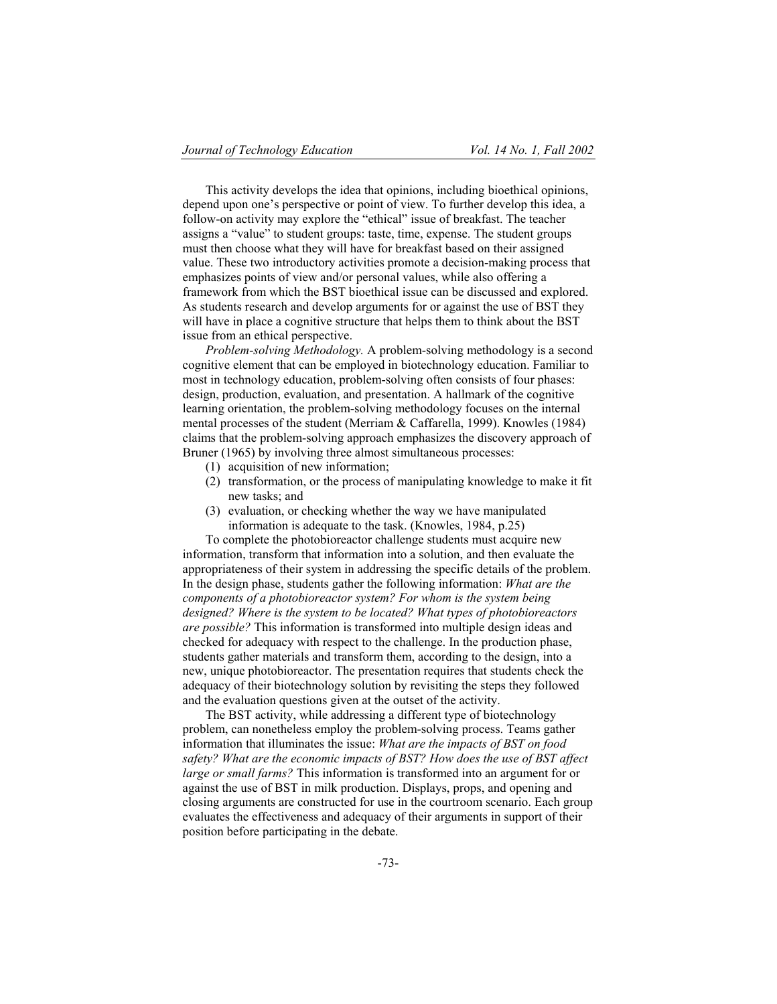This activity develops the idea that opinions, including bioethical opinions, depend upon one's perspective or point of view. To further develop this idea, a follow-on activity may explore the "ethical" issue of breakfast. The teacher assigns a "value" to student groups: taste, time, expense. The student groups must then choose what they will have for breakfast based on their assigned value. These two introductory activities promote a decision-making process that emphasizes points of view and/or personal values, while also offering a framework from which the BST bioethical issue can be discussed and explored. As students research and develop arguments for or against the use of BST they will have in place a cognitive structure that helps them to think about the BST issue from an ethical perspective.

*Problem-solving Methodology.* A problem-solving methodology is a second cognitive element that can be employed in biotechnology education. Familiar to most in technology education, problem-solving often consists of four phases: design, production, evaluation, and presentation. A hallmark of the cognitive learning orientation, the problem-solving methodology focuses on the internal mental processes of the student (Merriam & Caffarella, 1999). Knowles (1984) claims that the problem-solving approach emphasizes the discovery approach of Bruner (1965) by involving three almost simultaneous processes:

- (1) acquisition of new information;
- (2) transformation, or the process of manipulating knowledge to make it fit new tasks; and
- (3) evaluation, or checking whether the way we have manipulated information is adequate to the task. (Knowles, 1984, p.25)

To complete the photobioreactor challenge students must acquire new information, transform that information into a solution, and then evaluate the appropriateness of their system in addressing the specific details of the problem. In the design phase, students gather the following information: *What are the components of a photobioreactor system? For whom is the system being designed? Where is the system to be located? What types of photobioreactors are possible?* This information is transformed into multiple design ideas and checked for adequacy with respect to the challenge. In the production phase, students gather materials and transform them, according to the design, into a new, unique photobioreactor. The presentation requires that students check the adequacy of their biotechnology solution by revisiting the steps they followed and the evaluation questions given at the outset of the activity.

The BST activity, while addressing a different type of biotechnology problem, can nonetheless employ the problem-solving process. Teams gather information that illuminates the issue: *What are the impacts of BST on food safety? What are the economic impacts of BST? How does the use of BST affect large or small farms?* This information is transformed into an argument for or against the use of BST in milk production. Displays, props, and opening and closing arguments are constructed for use in the courtroom scenario. Each group evaluates the effectiveness and adequacy of their arguments in support of their position before participating in the debate.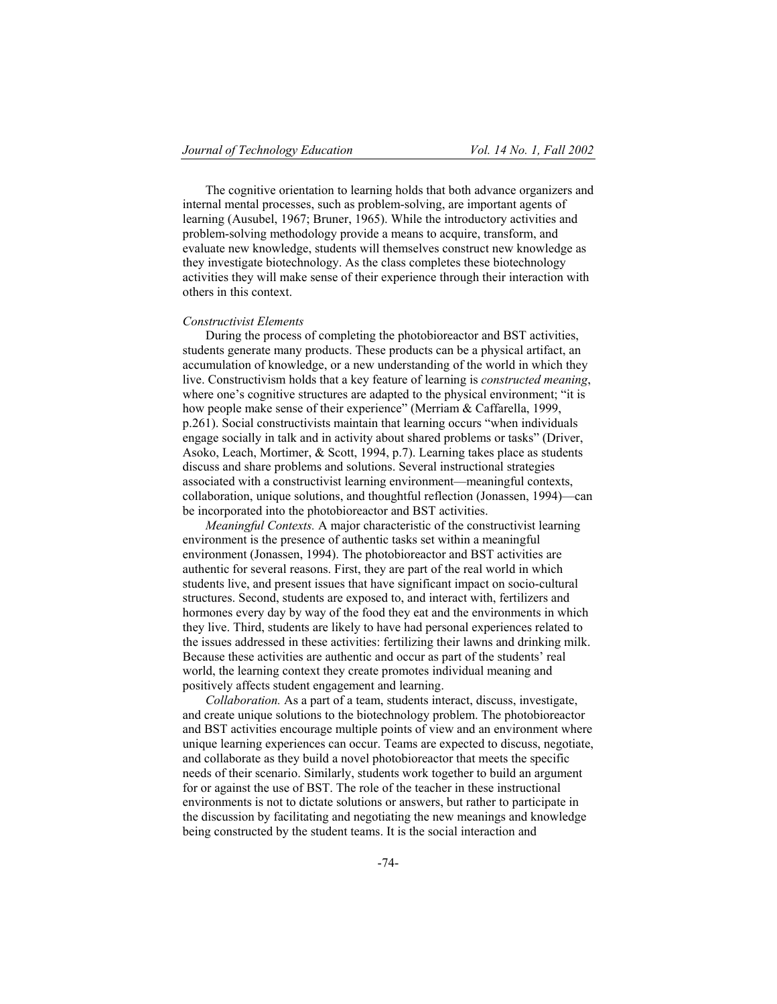The cognitive orientation to learning holds that both advance organizers and internal mental processes, such as problem-solving, are important agents of learning (Ausubel, 1967; Bruner, 1965). While the introductory activities and problem-solving methodology provide a means to acquire, transform, and evaluate new knowledge, students will themselves construct new knowledge as they investigate biotechnology. As the class completes these biotechnology activities they will make sense of their experience through their interaction with others in this context.

## *Constructivist Elements*

During the process of completing the photobioreactor and BST activities, students generate many products. These products can be a physical artifact, an accumulation of knowledge, or a new understanding of the world in which they live. Constructivism holds that a key feature of learning is *constructed meaning*, where one's cognitive structures are adapted to the physical environment; "it is how people make sense of their experience" (Merriam & Caffarella, 1999, p.261). Social constructivists maintain that learning occurs "when individuals engage socially in talk and in activity about shared problems or tasks" (Driver, Asoko, Leach, Mortimer, & Scott, 1994, p.7). Learning takes place as students discuss and share problems and solutions. Several instructional strategies associated with a constructivist learning environment—meaningful contexts, collaboration, unique solutions, and thoughtful reflection (Jonassen, 1994)—can be incorporated into the photobioreactor and BST activities.

*Meaningful Contexts.* A major characteristic of the constructivist learning environment is the presence of authentic tasks set within a meaningful environment (Jonassen, 1994). The photobioreactor and BST activities are authentic for several reasons. First, they are part of the real world in which students live, and present issues that have significant impact on socio-cultural structures. Second, students are exposed to, and interact with, fertilizers and hormones every day by way of the food they eat and the environments in which they live. Third, students are likely to have had personal experiences related to the issues addressed in these activities: fertilizing their lawns and drinking milk. Because these activities are authentic and occur as part of the students' real world, the learning context they create promotes individual meaning and positively affects student engagement and learning.

*Collaboration.* As a part of a team, students interact, discuss, investigate, and create unique solutions to the biotechnology problem. The photobioreactor and BST activities encourage multiple points of view and an environment where unique learning experiences can occur. Teams are expected to discuss, negotiate, and collaborate as they build a novel photobioreactor that meets the specific needs of their scenario. Similarly, students work together to build an argument for or against the use of BST. The role of the teacher in these instructional environments is not to dictate solutions or answers, but rather to participate in the discussion by facilitating and negotiating the new meanings and knowledge being constructed by the student teams. It is the social interaction and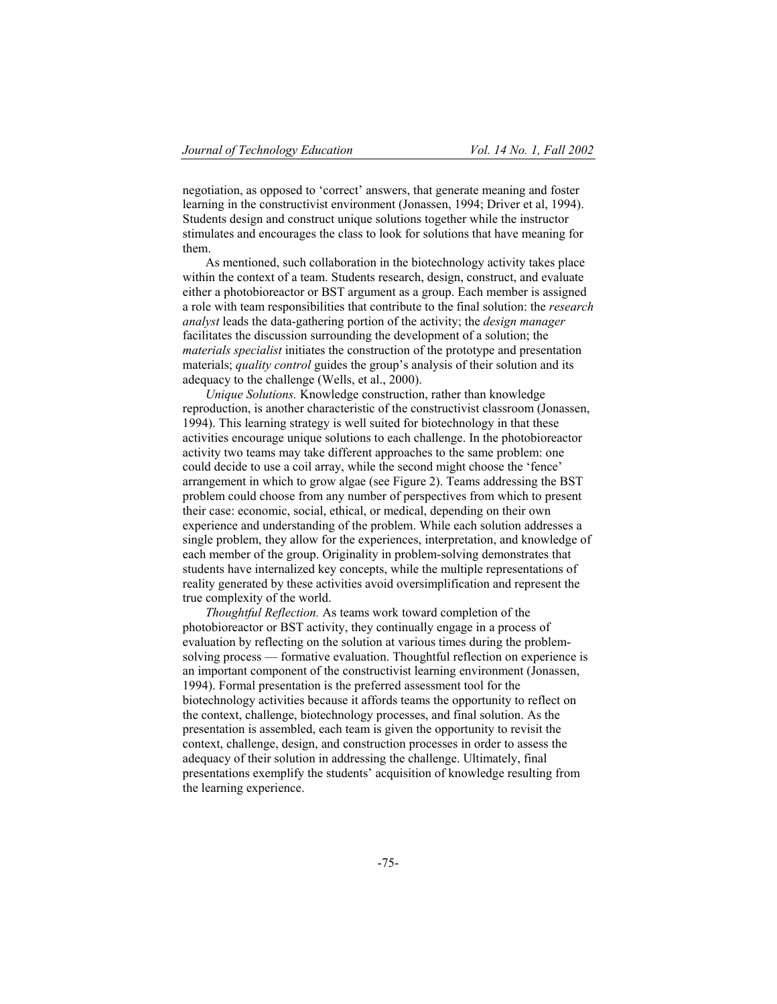negotiation, as opposed to 'correct' answers, that generate meaning and foster learning in the constructivist environment (Jonassen, 1994; Driver et al, 1994). Students design and construct unique solutions together while the instructor stimulates and encourages the class to look for solutions that have meaning for them.

As mentioned, such collaboration in the biotechnology activity takes place within the context of a team. Students research, design, construct, and evaluate either a photobioreactor or BST argument as a group. Each member is assigned a role with team responsibilities that contribute to the final solution: the *research analyst* leads the data-gathering portion of the activity; the *design manager* facilitates the discussion surrounding the development of a solution; the *materials specialist* initiates the construction of the prototype and presentation materials; *quality control* guides the group's analysis of their solution and its adequacy to the challenge (Wells, et al., 2000).

*Unique Solutions.* Knowledge construction, rather than knowledge reproduction, is another characteristic of the constructivist classroom (Jonassen, 1994). This learning strategy is well suited for biotechnology in that these activities encourage unique solutions to each challenge. In the photobioreactor activity two teams may take different approaches to the same problem: one could decide to use a coil array, while the second might choose the 'fence' arrangement in which to grow algae (see Figure 2). Teams addressing the BST problem could choose from any number of perspectives from which to present their case: economic, social, ethical, or medical, depending on their own experience and understanding of the problem. While each solution addresses a single problem, they allow for the experiences, interpretation, and knowledge of each member of the group. Originality in problem-solving demonstrates that students have internalized key concepts, while the multiple representations of reality generated by these activities avoid oversimplification and represent the true complexity of the world.

*Thoughtful Reflection.* As teams work toward completion of the photobioreactor or BST activity, they continually engage in a process of evaluation by reflecting on the solution at various times during the problemsolving process — formative evaluation. Thoughtful reflection on experience is an important component of the constructivist learning environment (Jonassen, 1994). Formal presentation is the preferred assessment tool for the biotechnology activities because it affords teams the opportunity to reflect on the context, challenge, biotechnology processes, and final solution. As the presentation is assembled, each team is given the opportunity to revisit the context, challenge, design, and construction processes in order to assess the adequacy of their solution in addressing the challenge. Ultimately, final presentations exemplify the students' acquisition of knowledge resulting from the learning experience.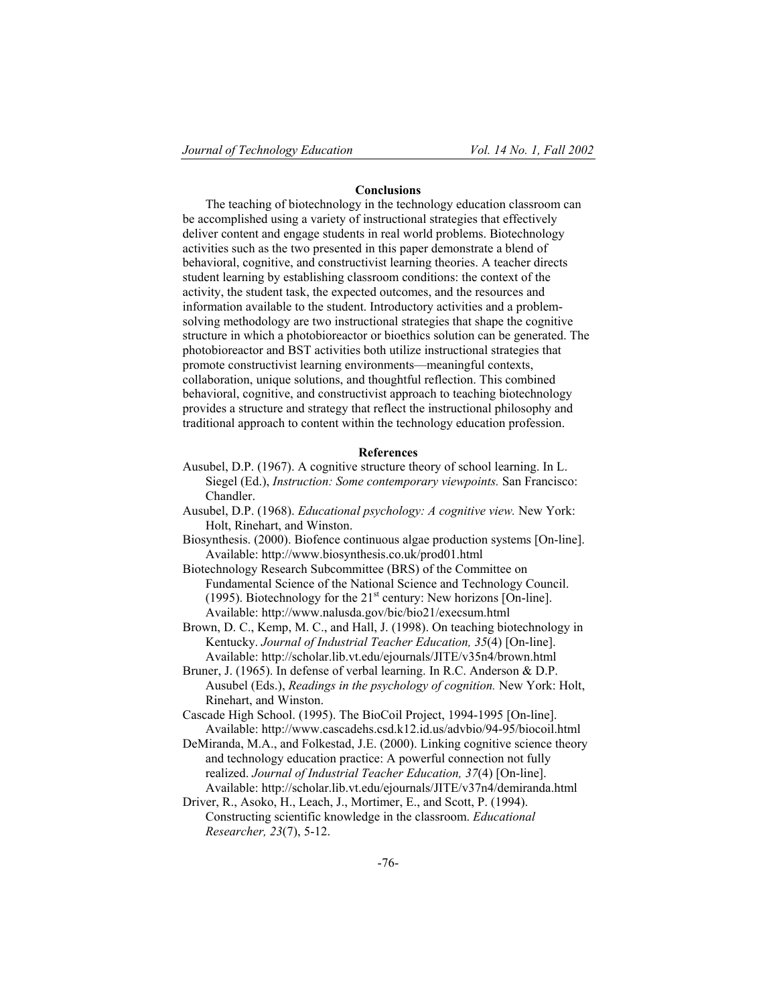## **Conclusions**

The teaching of biotechnology in the technology education classroom can be accomplished using a variety of instructional strategies that effectively deliver content and engage students in real world problems. Biotechnology activities such as the two presented in this paper demonstrate a blend of behavioral, cognitive, and constructivist learning theories. A teacher directs student learning by establishing classroom conditions: the context of the activity, the student task, the expected outcomes, and the resources and information available to the student. Introductory activities and a problemsolving methodology are two instructional strategies that shape the cognitive structure in which a photobioreactor or bioethics solution can be generated. The photobioreactor and BST activities both utilize instructional strategies that promote constructivist learning environments—meaningful contexts, collaboration, unique solutions, and thoughtful reflection. This combined behavioral, cognitive, and constructivist approach to teaching biotechnology provides a structure and strategy that reflect the instructional philosophy and traditional approach to content within the technology education profession.

## **References**

- Ausubel, D.P. (1967). A cognitive structure theory of school learning. In L. Siegel (Ed.), *Instruction: Some contemporary viewpoints.* San Francisco: Chandler.
- Ausubel, D.P. (1968). *Educational psychology: A cognitive view.* New York: Holt, Rinehart, and Winston.
- Biosynthesis. (2000). Biofence continuous algae production systems [On-line]. Available: http://www.biosynthesis.co.uk/prod01.html
- Biotechnology Research Subcommittee (BRS) of the Committee on Fundamental Science of the National Science and Technology Council. (1995). Biotechnology for the  $21<sup>st</sup>$  century: New horizons [On-line]. Available: http://www.nalusda.gov/bic/bio21/execsum.html
- Brown, D. C., Kemp, M. C., and Hall, J. (1998). On teaching biotechnology in Kentucky. *Journal of Industrial Teacher Education, 35*(4) [On-line]. Available: http://scholar.lib.vt.edu/ejournals/JITE/v35n4/brown.html
- Bruner, J. (1965). In defense of verbal learning. In R.C. Anderson & D.P. Ausubel (Eds.), *Readings in the psychology of cognition.* New York: Holt, Rinehart, and Winston.
- Cascade High School. (1995). The BioCoil Project, 1994-1995 [On-line]. Available: http://www.cascadehs.csd.k12.id.us/advbio/94-95/biocoil.html
- DeMiranda, M.A., and Folkestad, J.E. (2000). Linking cognitive science theory and technology education practice: A powerful connection not fully realized. *Journal of Industrial Teacher Education, 37*(4) [On-line]. Available: http://scholar.lib.vt.edu/ejournals/JITE/v37n4/demiranda.html
- Driver, R., Asoko, H., Leach, J., Mortimer, E., and Scott, P. (1994). Constructing scientific knowledge in the classroom. *Educational Researcher, 23*(7), 5-12.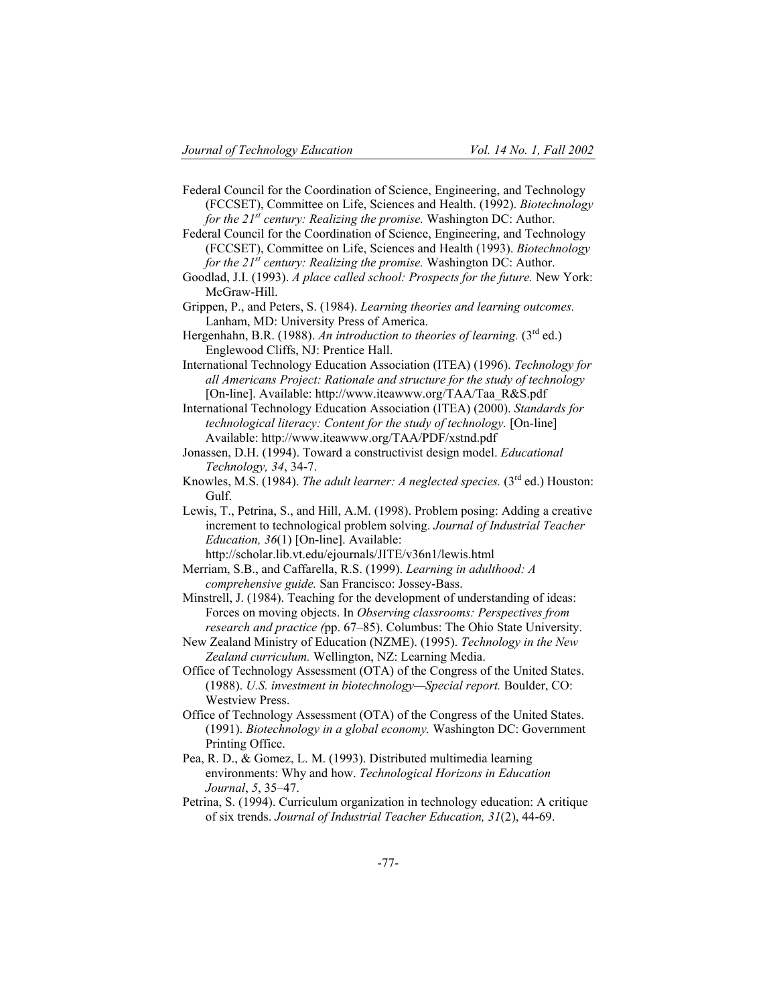Federal Council for the Coordination of Science, Engineering, and Technology (FCCSET), Committee on Life, Sciences and Health. (1992). *Biotechnology for the 21st century: Realizing the promise.* Washington DC: Author.

Federal Council for the Coordination of Science, Engineering, and Technology (FCCSET), Committee on Life, Sciences and Health (1993). *Biotechnology for the 21st century: Realizing the promise.* Washington DC: Author.

Goodlad, J.I. (1993). *A place called school: Prospects for the future.* New York: McGraw-Hill.

Grippen, P., and Peters, S. (1984). *Learning theories and learning outcomes.*  Lanham, MD: University Press of America.

Hergenhahn, B.R. (1988). An introduction to theories of learning. (3<sup>rd</sup> ed.) Englewood Cliffs, NJ: Prentice Hall.

- International Technology Education Association (ITEA) (1996). *Technology for all Americans Project: Rationale and structure for the study of technology*  [On-line]. Available: http://www.iteawww.org/TAA/Taa\_R&S.pdf
- International Technology Education Association (ITEA) (2000). *Standards for technological literacy: Content for the study of technology.* [On-line] Available: http://www.iteawww.org/TAA/PDF/xstnd.pdf

Jonassen, D.H. (1994). Toward a constructivist design model. *Educational Technology, 34*, 34-7.

- Knowles, M.S. (1984). *The adult learner: A neglected species.* (3<sup>rd</sup> ed.) Houston: Gulf.
- Lewis, T., Petrina, S., and Hill, A.M. (1998). Problem posing: Adding a creative increment to technological problem solving. *Journal of Industrial Teacher Education, 36*(1) [On-line]. Available:
	- http://scholar.lib.vt.edu/ejournals/JITE/v36n1/lewis.html

Merriam, S.B., and Caffarella, R.S. (1999). *Learning in adulthood: A comprehensive guide.* San Francisco: Jossey-Bass.

- Minstrell, J. (1984). Teaching for the development of understanding of ideas: Forces on moving objects. In *Observing classrooms: Perspectives from research and practice (*pp. 67–85). Columbus: The Ohio State University.
- New Zealand Ministry of Education (NZME). (1995). *Technology in the New Zealand curriculum.* Wellington, NZ: Learning Media.

Office of Technology Assessment (OTA) of the Congress of the United States. (1988). *U.S. investment in biotechnology—Special report.* Boulder, CO: Westview Press.

- Office of Technology Assessment (OTA) of the Congress of the United States. (1991). *Biotechnology in a global economy.* Washington DC: Government Printing Office.
- Pea, R. D., & Gomez, L. M. (1993). Distributed multimedia learning environments: Why and how. *Technological Horizons in Education Journal*, *5*, 35–47.
- Petrina, S. (1994). Curriculum organization in technology education: A critique of six trends. *Journal of Industrial Teacher Education, 31*(2), 44-69.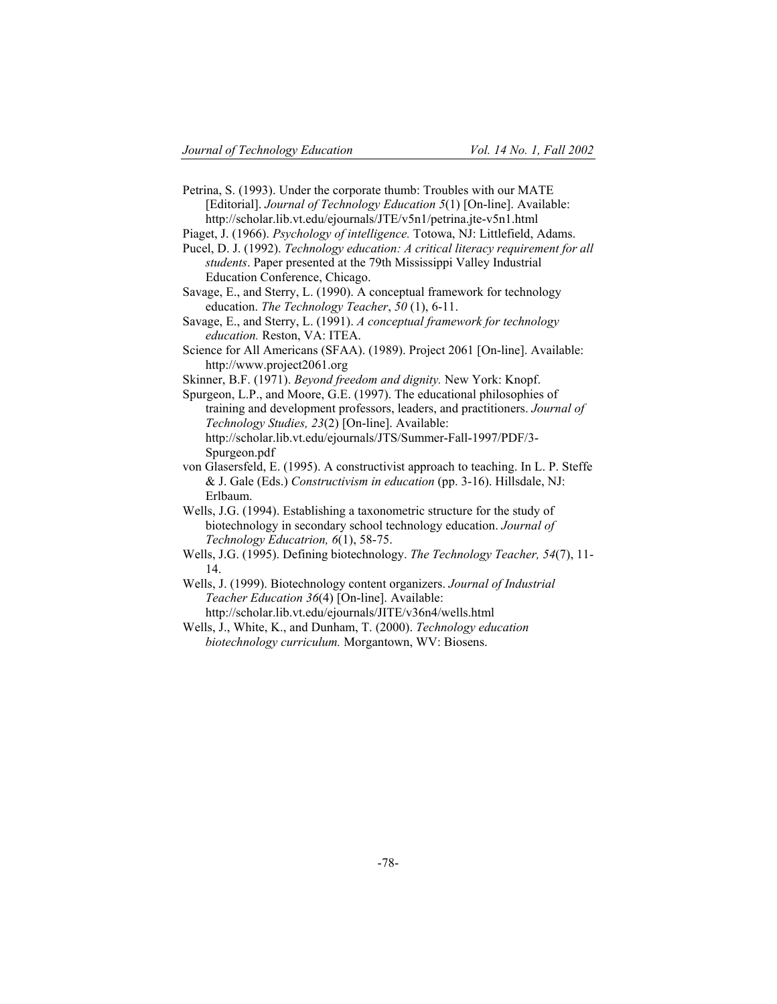- Petrina, S. (1993). Under the corporate thumb: Troubles with our MATE [Editorial]. *Journal of Technology Education 5*(1) [On-line]. Available: http://scholar.lib.vt.edu/ejournals/JTE/v5n1/petrina.jte-v5n1.html
- Piaget, J. (1966). *Psychology of intelligence.* Totowa, NJ: Littlefield, Adams.
- Pucel, D. J. (1992). *Technology education: A critical literacy requirement for all students*. Paper presented at the 79th Mississippi Valley Industrial Education Conference, Chicago.
- Savage, E., and Sterry, L. (1990). A conceptual framework for technology education. *The Technology Teacher*, *50* (1), 6-11.
- Savage, E., and Sterry, L. (1991). *A conceptual framework for technology education.* Reston, VA: ITEA.
- Science for All Americans (SFAA). (1989). Project 2061 [On-line]. Available: http://www.project2061.org
- Skinner, B.F. (1971). *Beyond freedom and dignity.* New York: Knopf.
- Spurgeon, L.P., and Moore, G.E. (1997). The educational philosophies of training and development professors, leaders, and practitioners. *Journal of Technology Studies, 23*(2) [On-line]. Available: http://scholar.lib.vt.edu/ejournals/JTS/Summer-Fall-1997/PDF/3- Spurgeon.pdf
- von Glasersfeld, E. (1995). A constructivist approach to teaching. In L. P. Steffe & J. Gale (Eds.) *Constructivism in education* (pp. 3-16). Hillsdale, NJ: Erlbaum.
- Wells, J.G. (1994). Establishing a taxonometric structure for the study of biotechnology in secondary school technology education. *Journal of Technology Educatrion, 6*(1), 58-75.
- Wells, J.G. (1995). Defining biotechnology. *The Technology Teacher, 54*(7), 11- 14.
- Wells, J. (1999). Biotechnology content organizers. *Journal of Industrial Teacher Education 36*(4) [On-line]. Available: http://scholar.lib.vt.edu/ejournals/JITE/v36n4/wells.html
	-
- Wells, J., White, K., and Dunham, T. (2000). *Technology education biotechnology curriculum.* Morgantown, WV: Biosens.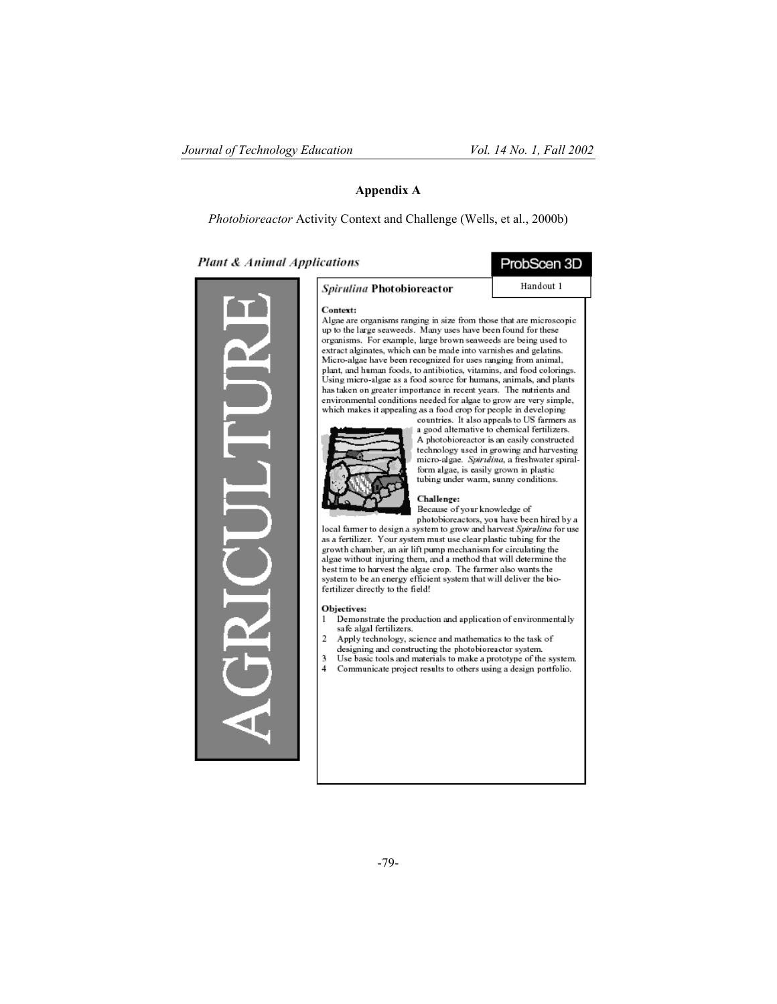ProbScen 3D Handout 1

## **Appendix A**

*Photobioreactor* Activity Context and Challenge (Wells, et al., 2000b)

Plant & Animal Applications



#### Context: Algae are organisms ranging in size from those that are microscopic up to the large seaweeds. Many uses have been found for these organisms. For example, large brown seaweeds are being used to extract alginates, which can be made into varnishes and gelatins. Micro-algae have been recognized for uses ranging from animal, plant, and human foods, to antibiotics, vitamins, and food colorings.<br>Using micro-algae as a food source for humans, animals, and plants has taken on greater importance in recent years. The nutrients and environmental conditions needed for algae to grow are very simple, which makes it appealing as a food crop for people in developing



countries. It also appeals to US farmers as a good alternative to chemical fertilizers. A photobioreactor is an easily constructed technology used in growing and harvesting micro-algae. Spirulina, a freshwater spiralform algae, is easily grown in plastic<br>tubing under warm, sunny conditions.

Challenge: Because of your knowledge of

photobioreactors, you have been hired by a local farmer to design a system to grow and harvest Spirulina for use as a fertilizer. Your system must use clear plastic tubing for the growth chamber, an air lift pump mechanism for circulating the<br>algae without injuring them, and a method that will determine the best time to harvest the algae crop. The farmer also wants the system to be an energy efficient system that will deliver the biofertilizer directly to the field!

Objectives:

- Demonstrate the production and application of environmentally safe algal fertilizers.
- Apply technology, science and mathematics to the task of designing and constructing the photobioreactor system.
- 3 Use basic tools and materials to make a prototype of the system.  $\overline{4}$ Communicate project results to others using a design portfolio.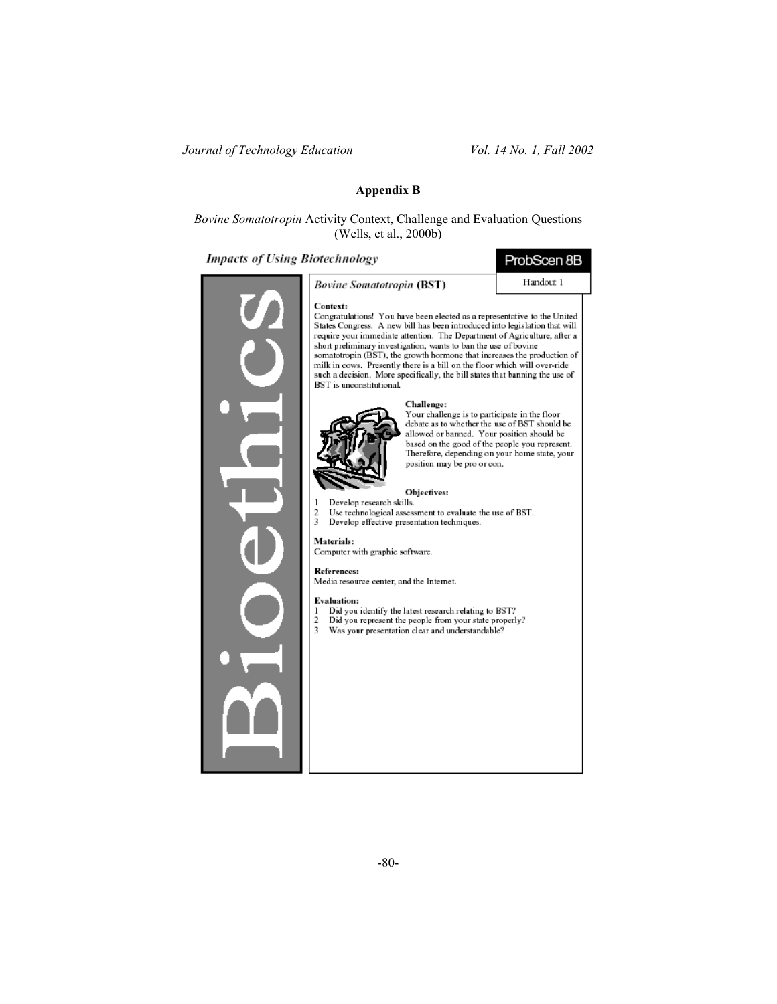# **Appendix B**

# *Bovine Somatotropin* Activity Context, Challenge and Evaluation Questions (Wells, et al., 2000b)

# **Impacts of Using Biotechnology**